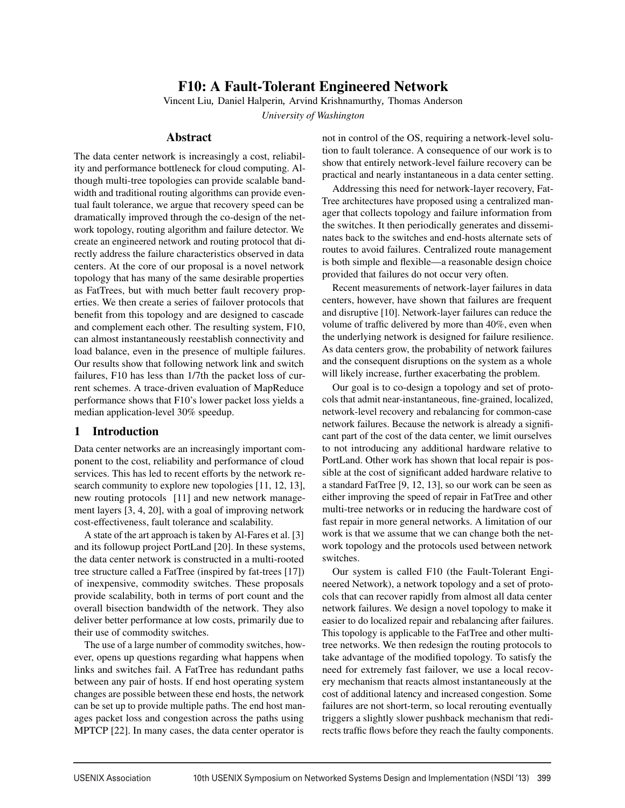# F10: A Fault-Tolerant Engineered Network

Vincent Liu*,* Daniel Halperin*,* Arvind Krishnamurthy*,* Thomas Anderson

*University of Washington*

# Abstract

The data center network is increasingly a cost, reliability and performance bottleneck for cloud computing. Although multi-tree topologies can provide scalable bandwidth and traditional routing algorithms can provide eventual fault tolerance, we argue that recovery speed can be dramatically improved through the co-design of the network topology, routing algorithm and failure detector. We create an engineered network and routing protocol that directly address the failure characteristics observed in data centers. At the core of our proposal is a novel network topology that has many of the same desirable properties as FatTrees, but with much better fault recovery properties. We then create a series of failover protocols that benefit from this topology and are designed to cascade and complement each other. The resulting system, F10, can almost instantaneously reestablish connectivity and load balance, even in the presence of multiple failures. Our results show that following network link and switch failures, F10 has less than 1/7th the packet loss of current schemes. A trace-driven evaluation of MapReduce performance shows that F10's lower packet loss yields a median application-level 30% speedup.

# 1 Introduction

Data center networks are an increasingly important component to the cost, reliability and performance of cloud services. This has led to recent efforts by the network research community to explore new topologies [11, 12, 13], new routing protocols [11] and new network management layers [3, 4, 20], with a goal of improving network cost-effectiveness, fault tolerance and scalability.

A state of the art approach is taken by Al-Fares et al. [3] and its followup project PortLand [20]. In these systems, the data center network is constructed in a multi-rooted tree structure called a FatTree (inspired by fat-trees [17]) of inexpensive, commodity switches. These proposals provide scalability, both in terms of port count and the overall bisection bandwidth of the network. They also deliver better performance at low costs, primarily due to their use of commodity switches.

The use of a large number of commodity switches, however, opens up questions regarding what happens when links and switches fail. A FatTree has redundant paths between any pair of hosts. If end host operating system changes are possible between these end hosts, the network can be set up to provide multiple paths. The end host manages packet loss and congestion across the paths using MPTCP [22]. In many cases, the data center operator is

not in control of the OS, requiring a network-level solution to fault tolerance. A consequence of our work is to show that entirely network-level failure recovery can be practical and nearly instantaneous in a data center setting.

Addressing this need for network-layer recovery, Fat-Tree architectures have proposed using a centralized manager that collects topology and failure information from the switches. It then periodically generates and disseminates back to the switches and end-hosts alternate sets of routes to avoid failures. Centralized route management is both simple and flexible—a reasonable design choice provided that failures do not occur very often.

Recent measurements of network-layer failures in data centers, however, have shown that failures are frequent and disruptive [10]. Network-layer failures can reduce the volume of traffic delivered by more than 40%, even when the underlying network is designed for failure resilience. As data centers grow, the probability of network failures and the consequent disruptions on the system as a whole will likely increase, further exacerbating the problem.

Our goal is to co-design a topology and set of protocols that admit near-instantaneous, fine-grained, localized, network-level recovery and rebalancing for common-case network failures. Because the network is already a significant part of the cost of the data center, we limit ourselves to not introducing any additional hardware relative to PortLand. Other work has shown that local repair is possible at the cost of significant added hardware relative to a standard FatTree [9, 12, 13], so our work can be seen as either improving the speed of repair in FatTree and other multi-tree networks or in reducing the hardware cost of fast repair in more general networks. A limitation of our work is that we assume that we can change both the network topology and the protocols used between network switches.

Our system is called F10 (the Fault-Tolerant Engineered Network), a network topology and a set of protocols that can recover rapidly from almost all data center network failures. We design a novel topology to make it easier to do localized repair and rebalancing after failures. This topology is applicable to the FatTree and other multitree networks. We then redesign the routing protocols to take advantage of the modified topology. To satisfy the need for extremely fast failover, we use a local recovery mechanism that reacts almost instantaneously at the cost of additional latency and increased congestion. Some failures are not short-term, so local rerouting eventually triggers a slightly slower pushback mechanism that redirects traffic flows before they reach the faulty components.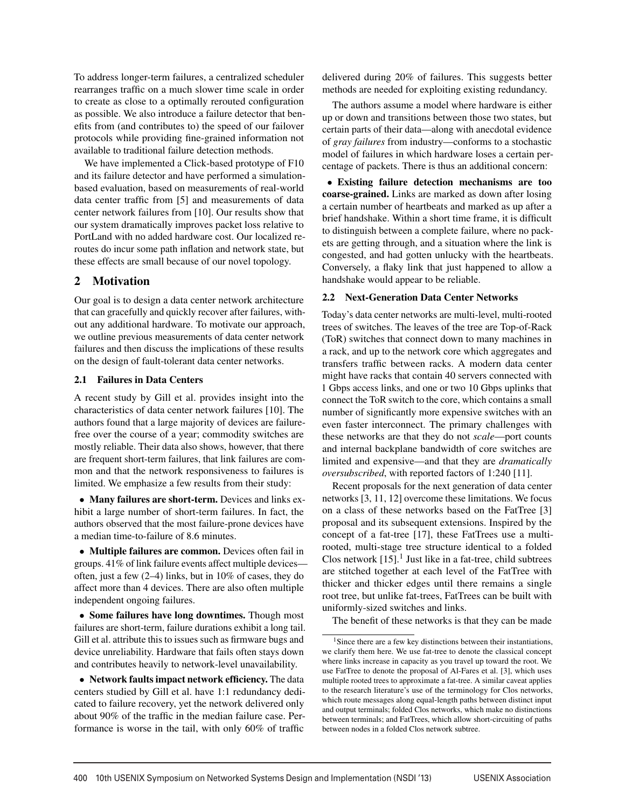To address longer-term failures, a centralized scheduler rearranges traffic on a much slower time scale in order to create as close to a optimally rerouted configuration as possible. We also introduce a failure detector that benefits from (and contributes to) the speed of our failover protocols while providing fine-grained information not available to traditional failure detection methods.

We have implemented a Click-based prototype of F10 and its failure detector and have performed a simulationbased evaluation, based on measurements of real-world data center traffic from [5] and measurements of data center network failures from [10]. Our results show that our system dramatically improves packet loss relative to PortLand with no added hardware cost. Our localized reroutes do incur some path inflation and network state, but these effects are small because of our novel topology.

# 2 Motivation

Our goal is to design a data center network architecture that can gracefully and quickly recover after failures, without any additional hardware. To motivate our approach, we outline previous measurements of data center network failures and then discuss the implications of these results on the design of fault-tolerant data center networks.

# 2.1 Failures in Data Centers

A recent study by Gill et al. provides insight into the characteristics of data center network failures [10]. The authors found that a large majority of devices are failurefree over the course of a year; commodity switches are mostly reliable. Their data also shows, however, that there are frequent short-term failures, that link failures are common and that the network responsiveness to failures is limited. We emphasize a few results from their study:

• Many failures are short-term. Devices and links exhibit a large number of short-term failures. In fact, the authors observed that the most failure-prone devices have a median time-to-failure of 8.6 minutes.

• Multiple failures are common. Devices often fail in groups. 41% of link failure events affect multiple devices often, just a few (2–4) links, but in 10% of cases, they do affect more than 4 devices. There are also often multiple independent ongoing failures.

• Some failures have long downtimes. Though most failures are short-term, failure durations exhibit a long tail. Gill et al. attribute this to issues such as firmware bugs and device unreliability. Hardware that fails often stays down and contributes heavily to network-level unavailability.

• Network faults impact network efficiency. The data centers studied by Gill et al. have 1:1 redundancy dedicated to failure recovery, yet the network delivered only about 90% of the traffic in the median failure case. Performance is worse in the tail, with only 60% of traffic

delivered during 20% of failures. This suggests better methods are needed for exploiting existing redundancy.

The authors assume a model where hardware is either up or down and transitions between those two states, but certain parts of their data—along with anecdotal evidence of *gray failures* from industry—conforms to a stochastic model of failures in which hardware loses a certain percentage of packets. There is thus an additional concern:

• Existing failure detection mechanisms are too coarse-grained. Links are marked as down after losing a certain number of heartbeats and marked as up after a brief handshake. Within a short time frame, it is difficult to distinguish between a complete failure, where no packets are getting through, and a situation where the link is congested, and had gotten unlucky with the heartbeats. Conversely, a flaky link that just happened to allow a handshake would appear to be reliable.

# 2.2 Next-Generation Data Center Networks

Today's data center networks are multi-level, multi-rooted trees of switches. The leaves of the tree are Top-of-Rack (ToR) switches that connect down to many machines in a rack, and up to the network core which aggregates and transfers traffic between racks. A modern data center might have racks that contain 40 servers connected with 1 Gbps access links, and one or two 10 Gbps uplinks that connect the ToR switch to the core, which contains a small number of significantly more expensive switches with an even faster interconnect. The primary challenges with these networks are that they do not *scale*—port counts and internal backplane bandwidth of core switches are limited and expensive—and that they are *dramatically oversubscribed*, with reported factors of 1:240 [11].

Recent proposals for the next generation of data center networks [3, 11, 12] overcome these limitations. We focus on a class of these networks based on the FatTree [3] proposal and its subsequent extensions. Inspired by the concept of a fat-tree [17], these FatTrees use a multirooted, multi-stage tree structure identical to a folded Clos network  $[15]$ .<sup>1</sup> Just like in a fat-tree, child subtrees are stitched together at each level of the FatTree with thicker and thicker edges until there remains a single root tree, but unlike fat-trees, FatTrees can be built with uniformly-sized switches and links.

The benefit of these networks is that they can be made

 $<sup>1</sup>$  Since there are a few key distinctions between their instantiations,</sup> we clarify them here. We use fat-tree to denote the classical concept where links increase in capacity as you travel up toward the root. We use FatTree to denote the proposal of Al-Fares et al. [3], which uses multiple rooted trees to approximate a fat-tree. A similar caveat applies to the research literature's use of the terminology for Clos networks, which route messages along equal-length paths between distinct input and output terminals; folded Clos networks, which make no distinctions between terminals; and FatTrees, which allow short-circuiting of paths between nodes in a folded Clos network subtree.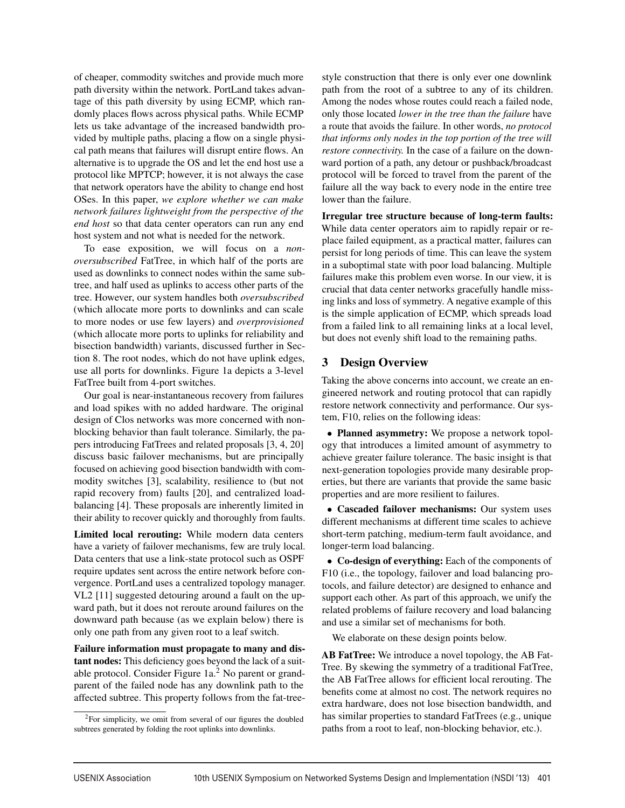of cheaper, commodity switches and provide much more path diversity within the network. PortLand takes advantage of this path diversity by using ECMP, which randomly places flows across physical paths. While ECMP lets us take advantage of the increased bandwidth provided by multiple paths, placing a flow on a single physical path means that failures will disrupt entire flows. An alternative is to upgrade the OS and let the end host use a protocol like MPTCP; however, it is not always the case that network operators have the ability to change end host OSes. In this paper, *we explore whether we can make network failures lightweight from the perspective of the end host* so that data center operators can run any end host system and not what is needed for the network.

To ease exposition, we will focus on a *nonoversubscribed* FatTree, in which half of the ports are used as downlinks to connect nodes within the same subtree, and half used as uplinks to access other parts of the tree. However, our system handles both *oversubscribed* (which allocate more ports to downlinks and can scale to more nodes or use few layers) and *overprovisioned* (which allocate more ports to uplinks for reliability and bisection bandwidth) variants, discussed further in Section 8. The root nodes, which do not have uplink edges, use all ports for downlinks. Figure 1a depicts a 3-level FatTree built from 4-port switches.

Our goal is near-instantaneous recovery from failures and load spikes with no added hardware. The original design of Clos networks was more concerned with nonblocking behavior than fault tolerance. Similarly, the papers introducing FatTrees and related proposals [3, 4, 20] discuss basic failover mechanisms, but are principally focused on achieving good bisection bandwidth with commodity switches [3], scalability, resilience to (but not rapid recovery from) faults [20], and centralized loadbalancing [4]. These proposals are inherently limited in their ability to recover quickly and thoroughly from faults.

Limited local rerouting: While modern data centers have a variety of failover mechanisms, few are truly local. Data centers that use a link-state protocol such as OSPF require updates sent across the entire network before convergence. PortLand uses a centralized topology manager. VL2 [11] suggested detouring around a fault on the upward path, but it does not reroute around failures on the downward path because (as we explain below) there is only one path from any given root to a leaf switch.

Failure information must propagate to many and distant nodes: This deficiency goes beyond the lack of a suitable protocol. Consider Figure  $1a<sup>2</sup>$  No parent or grandparent of the failed node has any downlink path to the affected subtree. This property follows from the fat-tree-

 $2$ For simplicity, we omit from several of our figures the doubled subtrees generated by folding the root uplinks into downlinks.

style construction that there is only ever one downlink path from the root of a subtree to any of its children. Among the nodes whose routes could reach a failed node, only those located *lower in the tree than the failure* have a route that avoids the failure. In other words, *no protocol that informs only nodes in the top portion of the tree will restore connectivity.* In the case of a failure on the downward portion of a path, any detour or pushback/broadcast protocol will be forced to travel from the parent of the failure all the way back to every node in the entire tree lower than the failure.

Irregular tree structure because of long-term faults: While data center operators aim to rapidly repair or replace failed equipment, as a practical matter, failures can persist for long periods of time. This can leave the system in a suboptimal state with poor load balancing. Multiple failures make this problem even worse. In our view, it is crucial that data center networks gracefully handle missing links and loss of symmetry. A negative example of this is the simple application of ECMP, which spreads load from a failed link to all remaining links at a local level, but does not evenly shift load to the remaining paths.

# 3 Design Overview

Taking the above concerns into account, we create an engineered network and routing protocol that can rapidly restore network connectivity and performance. Our system, F10, relies on the following ideas:

• Planned asymmetry: We propose a network topology that introduces a limited amount of asymmetry to achieve greater failure tolerance. The basic insight is that next-generation topologies provide many desirable properties, but there are variants that provide the same basic properties and are more resilient to failures.

• Cascaded failover mechanisms: Our system uses different mechanisms at different time scales to achieve short-term patching, medium-term fault avoidance, and longer-term load balancing.

• Co-design of everything: Each of the components of F10 (i.e., the topology, failover and load balancing protocols, and failure detector) are designed to enhance and support each other. As part of this approach, we unify the related problems of failure recovery and load balancing and use a similar set of mechanisms for both.

We elaborate on these design points below.

AB FatTree: We introduce a novel topology, the AB Fat-Tree. By skewing the symmetry of a traditional FatTree, the AB FatTree allows for efficient local rerouting. The benefits come at almost no cost. The network requires no extra hardware, does not lose bisection bandwidth, and has similar properties to standard FatTrees (e.g., unique paths from a root to leaf, non-blocking behavior, etc.).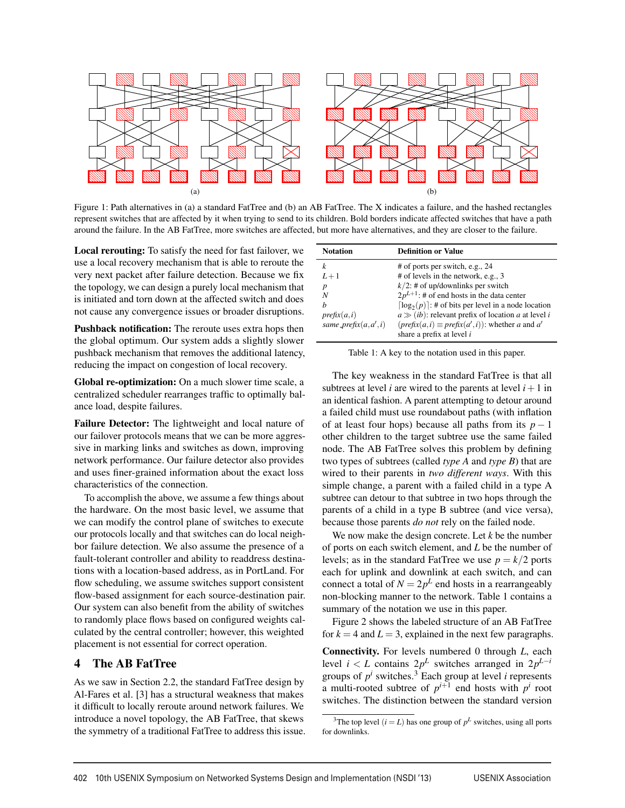

Figure 1: Path alternatives in (a) a standard FatTree and (b) an AB FatTree. The X indicates a failure, and the hashed rectangles represent switches that are affected by it when trying to send to its children. Bold borders indicate affected switches that have a path around the failure. In the AB FatTree, more switches are affected, but more have alternatives, and they are closer to the failure.

Local rerouting: To satisfy the need for fast failover, we use a local recovery mechanism that is able to reroute the very next packet after failure detection. Because we fix the topology, we can design a purely local mechanism that is initiated and torn down at the affected switch and does not cause any convergence issues or broader disruptions.

Pushback notification: The reroute uses extra hops then the global optimum. Our system adds a slightly slower pushback mechanism that removes the additional latency, reducing the impact on congestion of local recovery.

Global re-optimization: On a much slower time scale, a centralized scheduler rearranges traffic to optimally balance load, despite failures.

Failure Detector: The lightweight and local nature of our failover protocols means that we can be more aggressive in marking links and switches as down, improving network performance. Our failure detector also provides and uses finer-grained information about the exact loss characteristics of the connection.

To accomplish the above, we assume a few things about the hardware. On the most basic level, we assume that we can modify the control plane of switches to execute our protocols locally and that switches can do local neighbor failure detection. We also assume the presence of a fault-tolerant controller and ability to readdress destinations with a location-based address, as in PortLand. For flow scheduling, we assume switches support consistent flow-based assignment for each source-destination pair. Our system can also benefit from the ability of switches to randomly place flows based on configured weights calculated by the central controller; however, this weighted placement is not essential for correct operation.

# 4 The AB FatTree

As we saw in Section 2.2, the standard FatTree design by Al-Fares et al. [3] has a structural weakness that makes it difficult to locally reroute around network failures. We introduce a novel topology, the AB FatTree, that skews the symmetry of a traditional FatTree to address this issue.

| <b>Notation</b>          | <b>Definition or Value</b>                                                            |
|--------------------------|---------------------------------------------------------------------------------------|
| k                        | # of ports per switch, e.g., 24                                                       |
| $L+1$                    | # of levels in the network, e.g., 3                                                   |
| $\boldsymbol{p}$         | $k/2$ : # of up/downlinks per switch                                                  |
| N                        | $2p^{L+1}$ : # of end hosts in the data center                                        |
| h                        | $[\log_2(p)]$ : # of bits per level in a node location                                |
| prefix(a, i)             | $a \gg (ib)$ : relevant prefix of location a at level i                               |
| same_prefix $(a, a', i)$ | $(prefix(a, i) \equiv prefix(a', i))$ : whether a and a'<br>share a prefix at level i |

| Table 1: A key to the notation used in this paper. |  |
|----------------------------------------------------|--|
|----------------------------------------------------|--|

The key weakness in the standard FatTree is that all subtrees at level *i* are wired to the parents at level  $i + 1$  in an identical fashion. A parent attempting to detour around a failed child must use roundabout paths (with inflation of at least four hops) because all paths from its  $p - 1$ other children to the target subtree use the same failed node. The AB FatTree solves this problem by defining two types of subtrees (called *type A* and *type B*) that are wired to their parents in *two different ways*. With this simple change, a parent with a failed child in a type A subtree can detour to that subtree in two hops through the parents of a child in a type B subtree (and vice versa), because those parents *do not* rely on the failed node.

We now make the design concrete. Let *k* be the number of ports on each switch element, and *L* be the number of levels; as in the standard FatTree we use  $p = k/2$  ports each for uplink and downlink at each switch, and can connect a total of  $N = 2p^L$  end hosts in a rearrangeably non-blocking manner to the network. Table 1 contains a summary of the notation we use in this paper.

Figure 2 shows the labeled structure of an AB FatTree for  $k = 4$  and  $L = 3$ , explained in the next few paragraphs.

Connectivity. For levels numbered 0 through *L*, each level *i* < *L* contains  $2p^L$  switches arranged in  $2p^{L-i}$ groups of  $p^i$  switches.<sup>3</sup> Each group at level *i* represents a multi-rooted subtree of  $p^{i+1}$  end hosts with  $p^i$  root switches. The distinction between the standard version

<sup>&</sup>lt;sup>3</sup>The top level  $(i = L)$  has one group of  $p<sup>L</sup>$  switches, using all ports for downlinks.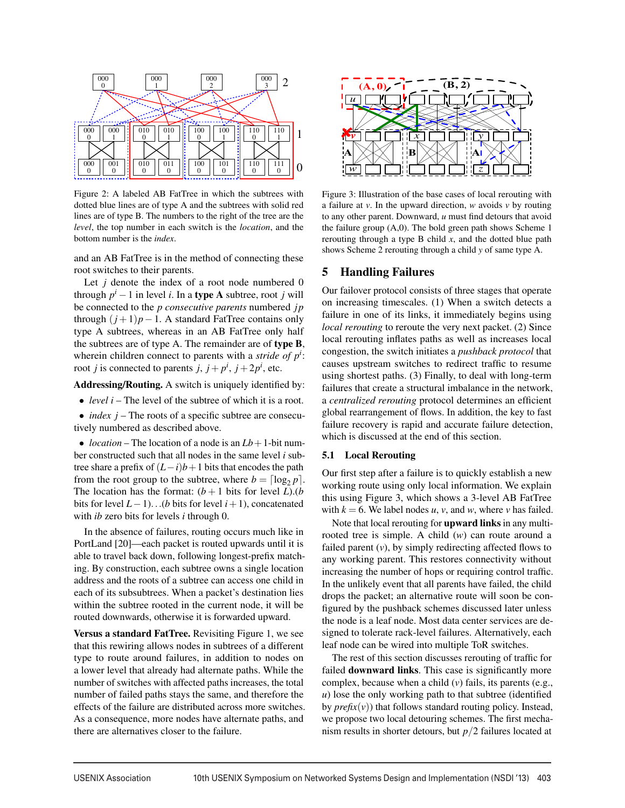

Figure 2: A labeled AB FatTree in which the subtrees with dotted blue lines are of type A and the subtrees with solid red lines are of type B. The numbers to the right of the tree are the *level*, the top number in each switch is the *location*, and the bottom number is the *index*.

and an AB FatTree is in the method of connecting these root switches to their parents.

Let  $j$  denote the index of a root node numbered  $0$ through  $p^{i} - 1$  in level *i*. In a **type A** subtree, root *j* will be connected to the *p consecutive parents* numbered *j p* through  $(j+1)p-1$ . A standard FatTree contains only type A subtrees, whereas in an AB FatTree only half the subtrees are of type A. The remainder are of type B, wherein children connect to parents with a *stride of*  $p<sup>i</sup>$ : root *j* is connected to parents *j*,  $j + p^i$ ,  $j + 2p^i$ , etc.

Addressing/Routing. A switch is uniquely identified by:

- *level i* The level of the subtree of which it is a root.
- *index j* The roots of a specific subtree are consecutively numbered as described above.

• *location* – The location of a node is an  $Lb + 1$ -bit number constructed such that all nodes in the same level *i* subtree share a prefix of  $(L-i)b+1$  bits that encodes the path from the root group to the subtree, where  $b = \lceil \log_2 p \rceil$ . The location has the format:  $(b+1)$  bits for level *L*).(*b* bits for level *L*−1)...(*b* bits for level *i*+1), concatenated with *ib* zero bits for levels *i* through 0.

In the absence of failures, routing occurs much like in PortLand [20]—each packet is routed upwards until it is able to travel back down, following longest-prefix matching. By construction, each subtree owns a single location address and the roots of a subtree can access one child in each of its subsubtrees. When a packet's destination lies within the subtree rooted in the current node, it will be routed downwards, otherwise it is forwarded upward.

Versus a standard FatTree. Revisiting Figure 1, we see that this rewiring allows nodes in subtrees of a different type to route around failures, in addition to nodes on a lower level that already had alternate paths. While the number of switches with affected paths increases, the total number of failed paths stays the same, and therefore the effects of the failure are distributed across more switches. As a consequence, more nodes have alternate paths, and there are alternatives closer to the failure.



Figure 3: Illustration of the base cases of local rerouting with a failure at *v*. In the upward direction, *w* avoids *v* by routing to any other parent. Downward, *u* must find detours that avoid the failure group (A,0). The bold green path shows Scheme 1 rerouting through a type B child *x*, and the dotted blue path shows Scheme 2 rerouting through a child *y* of same type A.

# 5 Handling Failures

Our failover protocol consists of three stages that operate on increasing timescales. (1) When a switch detects a failure in one of its links, it immediately begins using *local rerouting* to reroute the very next packet. (2) Since local rerouting inflates paths as well as increases local congestion, the switch initiates a *pushback protocol* that causes upstream switches to redirect traffic to resume using shortest paths. (3) Finally, to deal with long-term failures that create a structural imbalance in the network, a *centralized rerouting* protocol determines an efficient global rearrangement of flows. In addition, the key to fast failure recovery is rapid and accurate failure detection, which is discussed at the end of this section.

#### 5.1 Local Rerouting

Our first step after a failure is to quickly establish a new working route using only local information. We explain this using Figure 3, which shows a 3-level AB FatTree with  $k = 6$ . We label nodes *u*, *v*, and *w*, where *v* has failed.

Note that local rerouting for upward links in any multirooted tree is simple. A child (*w*) can route around a failed parent (*v*), by simply redirecting affected flows to any working parent. This restores connectivity without increasing the number of hops or requiring control traffic. In the unlikely event that all parents have failed, the child drops the packet; an alternative route will soon be configured by the pushback schemes discussed later unless the node is a leaf node. Most data center services are designed to tolerate rack-level failures. Alternatively, each leaf node can be wired into multiple ToR switches.

The rest of this section discusses rerouting of traffic for failed **downward links**. This case is significantly more complex, because when a child (*v*) fails, its parents (e.g., *u*) lose the only working path to that subtree (identified by  $prefix(v)$ ) that follows standard routing policy. Instead, we propose two local detouring schemes. The first mechanism results in shorter detours, but *p*/2 failures located at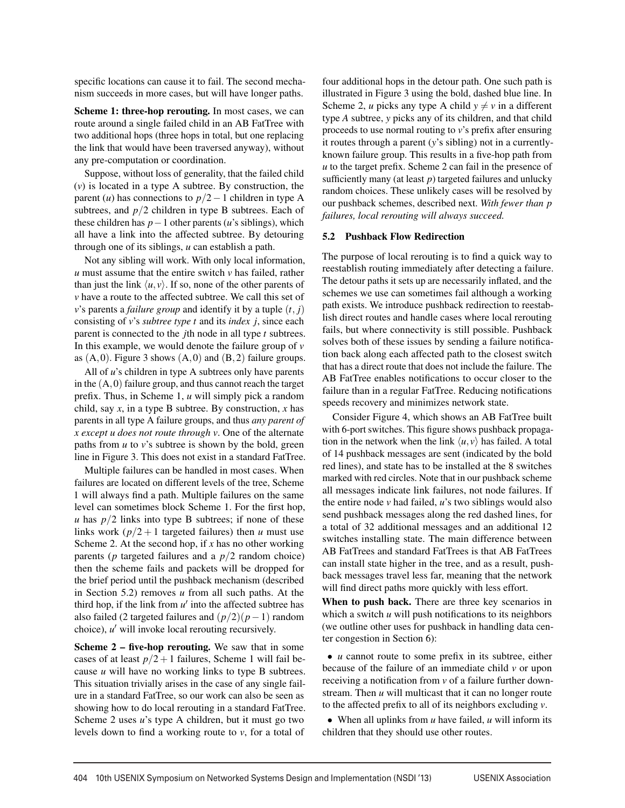specific locations can cause it to fail. The second mechanism succeeds in more cases, but will have longer paths.

Scheme 1: three-hop rerouting. In most cases, we can route around a single failed child in an AB FatTree with two additional hops (three hops in total, but one replacing the link that would have been traversed anyway), without any pre-computation or coordination.

Suppose, without loss of generality, that the failed child (*v*) is located in a type A subtree. By construction, the parent (*u*) has connections to  $p/2-1$  children in type A subtrees, and  $p/2$  children in type B subtrees. Each of these children has *p*−1 other parents (*u*'s siblings), which all have a link into the affected subtree. By detouring through one of its siblings, *u* can establish a path.

Not any sibling will work. With only local information, *u* must assume that the entire switch *v* has failed, rather than just the link  $\langle u, v \rangle$ . If so, none of the other parents of *v* have a route to the affected subtree. We call this set of *v*'s parents a *failure group* and identify it by a tuple  $(t, j)$ consisting of *v*'s *subtree type t* and its *index j*, since each parent is connected to the *j*th node in all type *t* subtrees. In this example, we would denote the failure group of  $\nu$ as  $(A,0)$ . Figure 3 shows  $(A,0)$  and  $(B,2)$  failure groups.

All of *u*'s children in type A subtrees only have parents in the  $(A,0)$  failure group, and thus cannot reach the target prefix. Thus, in Scheme 1, *u* will simply pick a random child, say *x*, in a type B subtree. By construction, *x* has parents in all type A failure groups, and thus *any parent of x except u does not route through v*. One of the alternate paths from *u* to *v*'s subtree is shown by the bold, green line in Figure 3. This does not exist in a standard FatTree.

Multiple failures can be handled in most cases. When failures are located on different levels of the tree, Scheme 1 will always find a path. Multiple failures on the same level can sometimes block Scheme 1. For the first hop, *u* has  $p/2$  links into type B subtrees; if none of these links work  $\left(\frac{p}{2} + 1\right)$  targeted failures) then *u* must use Scheme 2. At the second hop, if *x* has no other working parents ( $p$  targeted failures and a  $p/2$  random choice) then the scheme fails and packets will be dropped for the brief period until the pushback mechanism (described in Section 5.2) removes *u* from all such paths. At the third hop, if the link from  $u'$  into the affected subtree has also failed (2 targeted failures and (*p*/2)(*p*−1) random choice), *u'* will invoke local rerouting recursively.

Scheme 2 – five-hop rerouting. We saw that in some cases of at least  $p/2+1$  failures, Scheme 1 will fail because *u* will have no working links to type B subtrees. This situation trivially arises in the case of any single failure in a standard FatTree, so our work can also be seen as showing how to do local rerouting in a standard FatTree. Scheme 2 uses *u*'s type A children, but it must go two levels down to find a working route to *v*, for a total of

four additional hops in the detour path. One such path is illustrated in Figure 3 using the bold, dashed blue line. In Scheme 2, *u* picks any type A child  $y \neq v$  in a different type *A* subtree, *y* picks any of its children, and that child proceeds to use normal routing to *v*'s prefix after ensuring it routes through a parent (*y*'s sibling) not in a currentlyknown failure group. This results in a five-hop path from *u* to the target prefix. Scheme 2 can fail in the presence of sufficiently many (at least  $p$ ) targeted failures and unlucky random choices. These unlikely cases will be resolved by our pushback schemes, described next. *With fewer than p failures, local rerouting will always succeed.*

#### 5.2 Pushback Flow Redirection

The purpose of local rerouting is to find a quick way to reestablish routing immediately after detecting a failure. The detour paths it sets up are necessarily inflated, and the schemes we use can sometimes fail although a working path exists. We introduce pushback redirection to reestablish direct routes and handle cases where local rerouting fails, but where connectivity is still possible. Pushback solves both of these issues by sending a failure notification back along each affected path to the closest switch that has a direct route that does not include the failure. The AB FatTree enables notifications to occur closer to the failure than in a regular FatTree. Reducing notifications speeds recovery and minimizes network state.

Consider Figure 4, which shows an AB FatTree built with 6-port switches. This figure shows pushback propagation in the network when the link  $\langle u, v \rangle$  has failed. A total of 14 pushback messages are sent (indicated by the bold red lines), and state has to be installed at the 8 switches marked with red circles. Note that in our pushback scheme all messages indicate link failures, not node failures. If the entire node *v* had failed, *u*'s two siblings would also send pushback messages along the red dashed lines, for a total of 32 additional messages and an additional 12 switches installing state. The main difference between AB FatTrees and standard FatTrees is that AB FatTrees can install state higher in the tree, and as a result, pushback messages travel less far, meaning that the network will find direct paths more quickly with less effort.

When to push back. There are three key scenarios in which a switch *u* will push notifications to its neighbors (we outline other uses for pushback in handling data center congestion in Section 6):

• *u* cannot route to some prefix in its subtree, either because of the failure of an immediate child *v* or upon receiving a notification from *v* of a failure further downstream. Then *u* will multicast that it can no longer route to the affected prefix to all of its neighbors excluding *v*.

• When all uplinks from *u* have failed, *u* will inform its children that they should use other routes.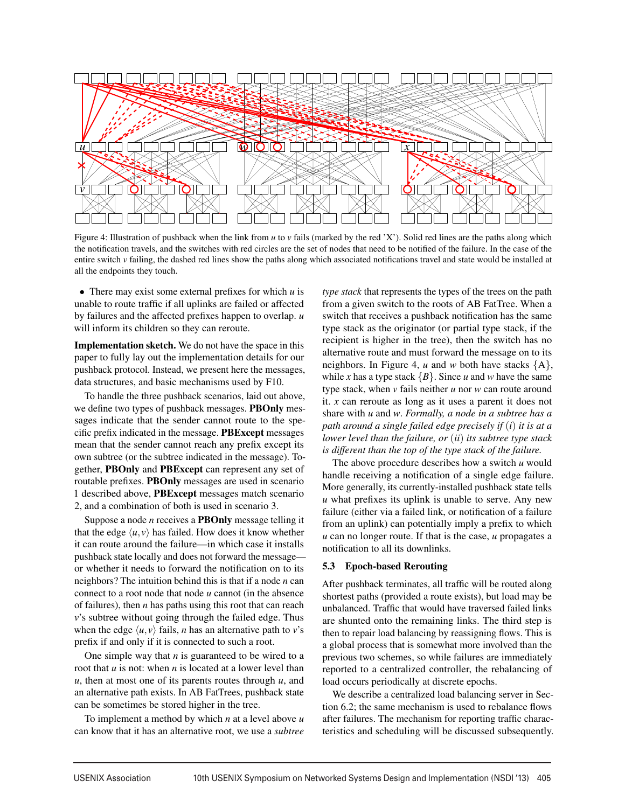

Figure 4: Illustration of pushback when the link from *u* to *v* fails (marked by the red 'X'). Solid red lines are the paths along which the notification travels, and the switches with red circles are the set of nodes that need to be notified of the failure. In the case of the entire switch *v* failing, the dashed red lines show the paths along which associated notifications travel and state would be installed at all the endpoints they touch.

• There may exist some external prefixes for which *u* is unable to route traffic if all uplinks are failed or affected by failures and the affected prefixes happen to overlap. *u* will inform its children so they can reroute.

Implementation sketch. We do not have the space in this paper to fully lay out the implementation details for our pushback protocol. Instead, we present here the messages, data structures, and basic mechanisms used by F10.

To handle the three pushback scenarios, laid out above, we define two types of pushback messages. PBOnly messages indicate that the sender cannot route to the specific prefix indicated in the message. PBExcept messages mean that the sender cannot reach any prefix except its own subtree (or the subtree indicated in the message). Together, PBOnly and PBExcept can represent any set of routable prefixes. PBOnly messages are used in scenario 1 described above, PBExcept messages match scenario 2, and a combination of both is used in scenario 3.

Suppose a node *n* receives a PBOnly message telling it that the edge  $\langle u, v \rangle$  has failed. How does it know whether it can route around the failure—in which case it installs pushback state locally and does not forward the message or whether it needs to forward the notification on to its neighbors? The intuition behind this is that if a node *n* can connect to a root node that node *u* cannot (in the absence of failures), then *n* has paths using this root that can reach *v*'s subtree without going through the failed edge. Thus when the edge  $\langle u, v \rangle$  fails, *n* has an alternative path to *v*'s prefix if and only if it is connected to such a root.

One simple way that  $n$  is guaranteed to be wired to a root that *u* is not: when *n* is located at a lower level than *u*, then at most one of its parents routes through *u*, and an alternative path exists. In AB FatTrees, pushback state can be sometimes be stored higher in the tree.

To implement a method by which *n* at a level above *u* can know that it has an alternative root, we use a *subtree*

*type stack* that represents the types of the trees on the path from a given switch to the roots of AB FatTree. When a switch that receives a pushback notification has the same type stack as the originator (or partial type stack, if the recipient is higher in the tree), then the switch has no alternative route and must forward the message on to its neighbors. In Figure 4,  $u$  and  $w$  both have stacks  $\{A\}$ , while *x* has a type stack  ${B}$ . Since *u* and *w* have the same type stack, when *v* fails neither *u* nor *w* can route around it. *x* can reroute as long as it uses a parent it does not share with *u* and *w*. *Formally, a node in a subtree has a path around a single failed edge precisely if* (*i*) *it is at a lower level than the failure, or* (*ii*) *its subtree type stack is different than the top of the type stack of the failure.*

The above procedure describes how a switch *u* would handle receiving a notification of a single edge failure. More generally, its currently-installed pushback state tells *u* what prefixes its uplink is unable to serve. Any new failure (either via a failed link, or notification of a failure from an uplink) can potentially imply a prefix to which *u* can no longer route. If that is the case, *u* propagates a notification to all its downlinks.

### 5.3 Epoch-based Rerouting

After pushback terminates, all traffic will be routed along shortest paths (provided a route exists), but load may be unbalanced. Traffic that would have traversed failed links are shunted onto the remaining links. The third step is then to repair load balancing by reassigning flows. This is a global process that is somewhat more involved than the previous two schemes, so while failures are immediately reported to a centralized controller, the rebalancing of load occurs periodically at discrete epochs.

We describe a centralized load balancing server in Section 6.2; the same mechanism is used to rebalance flows after failures. The mechanism for reporting traffic characteristics and scheduling will be discussed subsequently.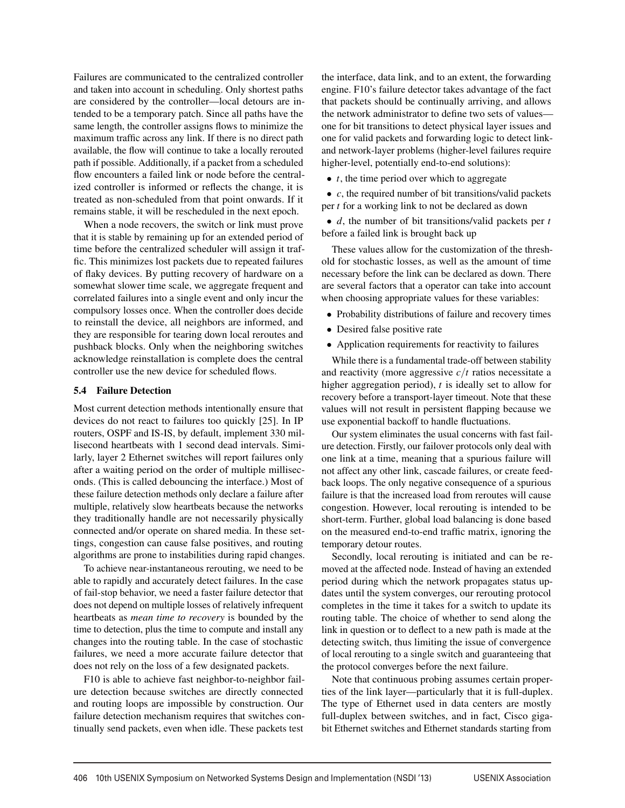Failures are communicated to the centralized controller and taken into account in scheduling. Only shortest paths are considered by the controller—local detours are intended to be a temporary patch. Since all paths have the same length, the controller assigns flows to minimize the maximum traffic across any link. If there is no direct path available, the flow will continue to take a locally rerouted path if possible. Additionally, if a packet from a scheduled flow encounters a failed link or node before the centralized controller is informed or reflects the change, it is treated as non-scheduled from that point onwards. If it remains stable, it will be rescheduled in the next epoch.

When a node recovers, the switch or link must prove that it is stable by remaining up for an extended period of time before the centralized scheduler will assign it traffic. This minimizes lost packets due to repeated failures of flaky devices. By putting recovery of hardware on a somewhat slower time scale, we aggregate frequent and correlated failures into a single event and only incur the compulsory losses once. When the controller does decide to reinstall the device, all neighbors are informed, and they are responsible for tearing down local reroutes and pushback blocks. Only when the neighboring switches acknowledge reinstallation is complete does the central controller use the new device for scheduled flows.

### 5.4 Failure Detection

Most current detection methods intentionally ensure that devices do not react to failures too quickly [25]. In IP routers, OSPF and IS-IS, by default, implement 330 millisecond heartbeats with 1 second dead intervals. Similarly, layer 2 Ethernet switches will report failures only after a waiting period on the order of multiple milliseconds. (This is called debouncing the interface.) Most of these failure detection methods only declare a failure after multiple, relatively slow heartbeats because the networks they traditionally handle are not necessarily physically connected and/or operate on shared media. In these settings, congestion can cause false positives, and routing algorithms are prone to instabilities during rapid changes.

To achieve near-instantaneous rerouting, we need to be able to rapidly and accurately detect failures. In the case of fail-stop behavior, we need a faster failure detector that does not depend on multiple losses of relatively infrequent heartbeats as *mean time to recovery* is bounded by the time to detection, plus the time to compute and install any changes into the routing table. In the case of stochastic failures, we need a more accurate failure detector that does not rely on the loss of a few designated packets.

F10 is able to achieve fast neighbor-to-neighbor failure detection because switches are directly connected and routing loops are impossible by construction. Our failure detection mechanism requires that switches continually send packets, even when idle. These packets test

the interface, data link, and to an extent, the forwarding engine. F10's failure detector takes advantage of the fact that packets should be continually arriving, and allows the network administrator to define two sets of values one for bit transitions to detect physical layer issues and one for valid packets and forwarding logic to detect linkand network-layer problems (higher-level failures require higher-level, potentially end-to-end solutions):

• *t*, the time period over which to aggregate

• *c*, the required number of bit transitions/valid packets per *t* for a working link to not be declared as down

• *d*, the number of bit transitions/valid packets per *t* before a failed link is brought back up

These values allow for the customization of the threshold for stochastic losses, as well as the amount of time necessary before the link can be declared as down. There are several factors that a operator can take into account when choosing appropriate values for these variables:

- Probability distributions of failure and recovery times
- Desired false positive rate
- Application requirements for reactivity to failures

While there is a fundamental trade-off between stability and reactivity (more aggressive *c*/*t* ratios necessitate a higher aggregation period), *t* is ideally set to allow for recovery before a transport-layer timeout. Note that these values will not result in persistent flapping because we use exponential backoff to handle fluctuations.

Our system eliminates the usual concerns with fast failure detection. Firstly, our failover protocols only deal with one link at a time, meaning that a spurious failure will not affect any other link, cascade failures, or create feedback loops. The only negative consequence of a spurious failure is that the increased load from reroutes will cause congestion. However, local rerouting is intended to be short-term. Further, global load balancing is done based on the measured end-to-end traffic matrix, ignoring the temporary detour routes.

Secondly, local rerouting is initiated and can be removed at the affected node. Instead of having an extended period during which the network propagates status updates until the system converges, our rerouting protocol completes in the time it takes for a switch to update its routing table. The choice of whether to send along the link in question or to deflect to a new path is made at the detecting switch, thus limiting the issue of convergence of local rerouting to a single switch and guaranteeing that the protocol converges before the next failure.

Note that continuous probing assumes certain properties of the link layer—particularly that it is full-duplex. The type of Ethernet used in data centers are mostly full-duplex between switches, and in fact, Cisco gigabit Ethernet switches and Ethernet standards starting from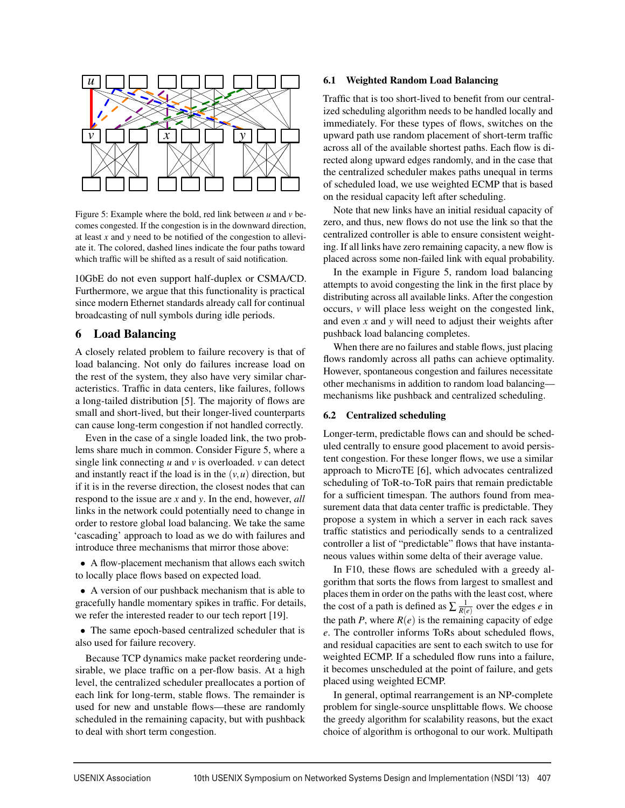

Figure 5: Example where the bold, red link between *u* and *v* becomes congested. If the congestion is in the downward direction, at least *x* and *y* need to be notified of the congestion to alleviate it. The colored, dashed lines indicate the four paths toward which traffic will be shifted as a result of said notification.

10GbE do not even support half-duplex or CSMA/CD. Furthermore, we argue that this functionality is practical since modern Ethernet standards already call for continual broadcasting of null symbols during idle periods.

# 6 Load Balancing

A closely related problem to failure recovery is that of load balancing. Not only do failures increase load on the rest of the system, they also have very similar characteristics. Traffic in data centers, like failures, follows a long-tailed distribution [5]. The majority of flows are small and short-lived, but their longer-lived counterparts can cause long-term congestion if not handled correctly.

Even in the case of a single loaded link, the two problems share much in common. Consider Figure 5, where a single link connecting *u* and *v* is overloaded. *v* can detect and instantly react if the load is in the  $(v, u)$  direction, but if it is in the reverse direction, the closest nodes that can respond to the issue are *x* and *y*. In the end, however, *all* links in the network could potentially need to change in order to restore global load balancing. We take the same 'cascading' approach to load as we do with failures and introduce three mechanisms that mirror those above:

• A flow-placement mechanism that allows each switch to locally place flows based on expected load.

• A version of our pushback mechanism that is able to gracefully handle momentary spikes in traffic. For details, we refer the interested reader to our tech report [19].

• The same epoch-based centralized scheduler that is also used for failure recovery.

Because TCP dynamics make packet reordering undesirable, we place traffic on a per-flow basis. At a high level, the centralized scheduler preallocates a portion of each link for long-term, stable flows. The remainder is used for new and unstable flows—these are randomly scheduled in the remaining capacity, but with pushback to deal with short term congestion.

# 6.1 Weighted Random Load Balancing

Traffic that is too short-lived to benefit from our centralized scheduling algorithm needs to be handled locally and immediately. For these types of flows, switches on the upward path use random placement of short-term traffic across all of the available shortest paths. Each flow is directed along upward edges randomly, and in the case that the centralized scheduler makes paths unequal in terms of scheduled load, we use weighted ECMP that is based on the residual capacity left after scheduling.

Note that new links have an initial residual capacity of zero, and thus, new flows do not use the link so that the centralized controller is able to ensure consistent weighting. If all links have zero remaining capacity, a new flow is placed across some non-failed link with equal probability.

In the example in Figure 5, random load balancing attempts to avoid congesting the link in the first place by distributing across all available links. After the congestion occurs, *v* will place less weight on the congested link, and even *x* and *y* will need to adjust their weights after pushback load balancing completes.

When there are no failures and stable flows, just placing flows randomly across all paths can achieve optimality. However, spontaneous congestion and failures necessitate other mechanisms in addition to random load balancing mechanisms like pushback and centralized scheduling.

### 6.2 Centralized scheduling

Longer-term, predictable flows can and should be scheduled centrally to ensure good placement to avoid persistent congestion. For these longer flows, we use a similar approach to MicroTE [6], which advocates centralized scheduling of ToR-to-ToR pairs that remain predictable for a sufficient timespan. The authors found from measurement data that data center traffic is predictable. They propose a system in which a server in each rack saves traffic statistics and periodically sends to a centralized controller a list of "predictable" flows that have instantaneous values within some delta of their average value.

In F10, these flows are scheduled with a greedy algorithm that sorts the flows from largest to smallest and places them in order on the paths with the least cost, where the cost of a path is defined as  $\sum \frac{1}{R(e)}$  over the edges *e* in the path *P*, where  $R(e)$  is the remaining capacity of edge *e*. The controller informs ToRs about scheduled flows, and residual capacities are sent to each switch to use for weighted ECMP. If a scheduled flow runs into a failure, it becomes unscheduled at the point of failure, and gets placed using weighted ECMP.

In general, optimal rearrangement is an NP-complete problem for single-source unsplittable flows. We choose the greedy algorithm for scalability reasons, but the exact choice of algorithm is orthogonal to our work. Multipath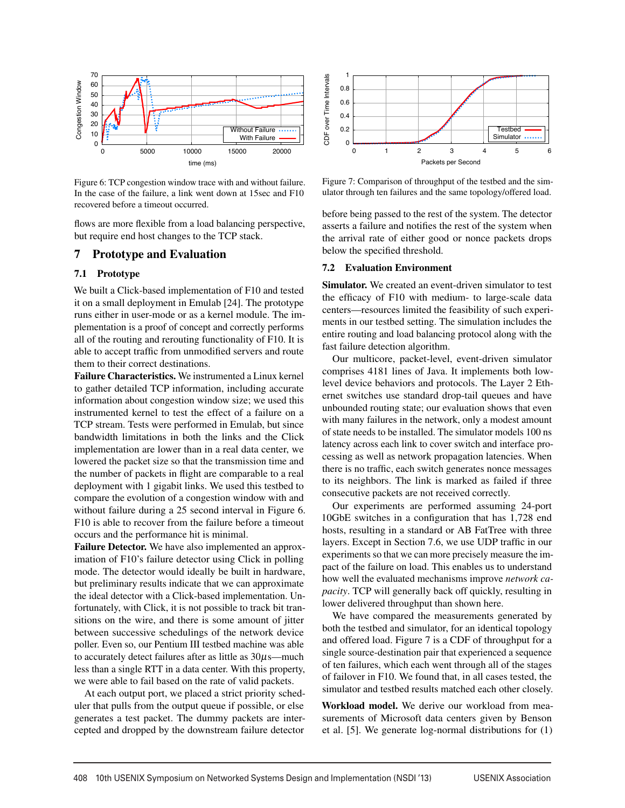

Figure 6: TCP congestion window trace with and without failure. In the case of the failure, a link went down at 15sec and F10 recovered before a timeout occurred.

flows are more flexible from a load balancing perspective, but require end host changes to the TCP stack.

### 7 Prototype and Evaluation

#### 7.1 Prototype

We built a Click-based implementation of F10 and tested it on a small deployment in Emulab [24]. The prototype runs either in user-mode or as a kernel module. The implementation is a proof of concept and correctly performs all of the routing and rerouting functionality of F10. It is able to accept traffic from unmodified servers and route them to their correct destinations.

Failure Characteristics. We instrumented a Linux kernel to gather detailed TCP information, including accurate information about congestion window size; we used this instrumented kernel to test the effect of a failure on a TCP stream. Tests were performed in Emulab, but since bandwidth limitations in both the links and the Click implementation are lower than in a real data center, we lowered the packet size so that the transmission time and the number of packets in flight are comparable to a real deployment with 1 gigabit links. We used this testbed to compare the evolution of a congestion window with and without failure during a 25 second interval in Figure 6. F10 is able to recover from the failure before a timeout occurs and the performance hit is minimal.

Failure Detector. We have also implemented an approximation of F10's failure detector using Click in polling mode. The detector would ideally be built in hardware, but preliminary results indicate that we can approximate the ideal detector with a Click-based implementation. Unfortunately, with Click, it is not possible to track bit transitions on the wire, and there is some amount of jitter between successive schedulings of the network device poller. Even so, our Pentium III testbed machine was able to accurately detect failures after as little as  $30\mu$ s—much less than a single RTT in a data center. With this property, we were able to fail based on the rate of valid packets.

At each output port, we placed a strict priority scheduler that pulls from the output queue if possible, or else generates a test packet. The dummy packets are intercepted and dropped by the downstream failure detector



Figure 7: Comparison of throughput of the testbed and the simulator through ten failures and the same topology/offered load.

before being passed to the rest of the system. The detector asserts a failure and notifies the rest of the system when the arrival rate of either good or nonce packets drops below the specified threshold.

#### 7.2 Evaluation Environment

Simulator. We created an event-driven simulator to test the efficacy of F10 with medium- to large-scale data centers—resources limited the feasibility of such experiments in our testbed setting. The simulation includes the entire routing and load balancing protocol along with the fast failure detection algorithm.

Our multicore, packet-level, event-driven simulator comprises 4181 lines of Java. It implements both lowlevel device behaviors and protocols. The Layer 2 Ethernet switches use standard drop-tail queues and have unbounded routing state; our evaluation shows that even with many failures in the network, only a modest amount of state needs to be installed. The simulator models 100 ns latency across each link to cover switch and interface processing as well as network propagation latencies. When there is no traffic, each switch generates nonce messages to its neighbors. The link is marked as failed if three consecutive packets are not received correctly.

Our experiments are performed assuming 24-port 10GbE switches in a configuration that has 1,728 end hosts, resulting in a standard or AB FatTree with three layers. Except in Section 7.6, we use UDP traffic in our experiments so that we can more precisely measure the impact of the failure on load. This enables us to understand how well the evaluated mechanisms improve *network capacity*. TCP will generally back off quickly, resulting in lower delivered throughput than shown here.

We have compared the measurements generated by both the testbed and simulator, for an identical topology and offered load. Figure 7 is a CDF of throughput for a single source-destination pair that experienced a sequence of ten failures, which each went through all of the stages of failover in F10. We found that, in all cases tested, the simulator and testbed results matched each other closely.

Workload model. We derive our workload from measurements of Microsoft data centers given by Benson et al. [5]. We generate log-normal distributions for (1)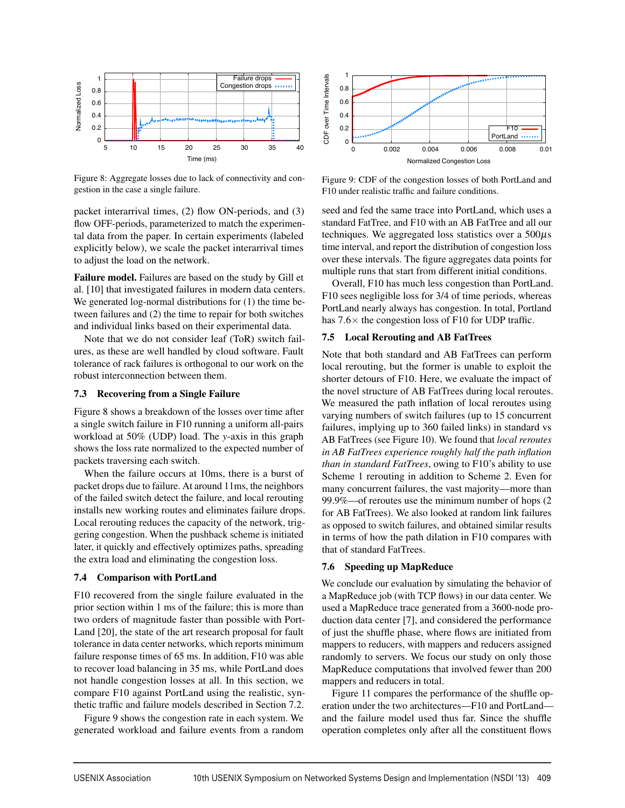

Figure 8: Aggregate losses due to lack of connectivity and congestion in the case a single failure.

packet interarrival times, (2) flow ON-periods, and (3) flow OFF-periods, parameterized to match the experimental data from the paper. In certain experiments (labeled explicitly below), we scale the packet interarrival times to adjust the load on the network.

Failure model. Failures are based on the study by Gill et al. [10] that investigated failures in modern data centers. We generated log-normal distributions for (1) the time between failures and (2) the time to repair for both switches and individual links based on their experimental data.

Note that we do not consider leaf (ToR) switch failures, as these are well handled by cloud software. Fault tolerance of rack failures is orthogonal to our work on the robust interconnection between them.

#### 7.3 Recovering from a Single Failure

Figure 8 shows a breakdown of the losses over time after a single switch failure in F10 running a uniform all-pairs workload at 50% (UDP) load. The *y*-axis in this graph shows the loss rate normalized to the expected number of packets traversing each switch.

When the failure occurs at 10ms, there is a burst of packet drops due to failure. At around 11ms, the neighbors of the failed switch detect the failure, and local rerouting installs new working routes and eliminates failure drops. Local rerouting reduces the capacity of the network, triggering congestion. When the pushback scheme is initiated later, it quickly and effectively optimizes paths, spreading the extra load and eliminating the congestion loss.

### 7.4 Comparison with PortLand

F10 recovered from the single failure evaluated in the prior section within 1 ms of the failure; this is more than two orders of magnitude faster than possible with Port-Land [20], the state of the art research proposal for fault tolerance in data center networks, which reports minimum failure response times of 65 ms. In addition, F10 was able to recover load balancing in 35 ms, while PortLand does not handle congestion losses at all. In this section, we compare F10 against PortLand using the realistic, synthetic traffic and failure models described in Section 7.2.

Figure 9 shows the congestion rate in each system. We generated workload and failure events from a random



Figure 9: CDF of the congestion losses of both PortLand and F10 under realistic traffic and failure conditions.

seed and fed the same trace into PortLand, which uses a standard FatTree, and F10 with an AB FatTree and all our techniques. We aggregated loss statistics over a  $500\mu s$ time interval, and report the distribution of congestion loss over these intervals. The figure aggregates data points for multiple runs that start from different initial conditions.

Overall, F10 has much less congestion than PortLand. F10 sees negligible loss for 3/4 of time periods, whereas PortLand nearly always has congestion. In total, Portland has  $7.6\times$  the congestion loss of F10 for UDP traffic.

# 7.5 Local Rerouting and AB FatTrees

Note that both standard and AB FatTrees can perform local rerouting, but the former is unable to exploit the shorter detours of F10. Here, we evaluate the impact of the novel structure of AB FatTrees during local reroutes. We measured the path inflation of local reroutes using varying numbers of switch failures (up to 15 concurrent failures, implying up to 360 failed links) in standard vs AB FatTrees (see Figure 10). We found that *local reroutes in AB FatTrees experience roughly half the path inflation than in standard FatTrees*, owing to F10's ability to use Scheme 1 rerouting in addition to Scheme 2. Even for many concurrent failures, the vast majority—more than 99.9%—of reroutes use the minimum number of hops (2 for AB FatTrees). We also looked at random link failures as opposed to switch failures, and obtained similar results in terms of how the path dilation in F10 compares with that of standard FatTrees.

#### 7.6 Speeding up MapReduce

We conclude our evaluation by simulating the behavior of a MapReduce job (with TCP flows) in our data center. We used a MapReduce trace generated from a 3600-node production data center [7], and considered the performance of just the shuffle phase, where flows are initiated from mappers to reducers, with mappers and reducers assigned randomly to servers. We focus our study on only those MapReduce computations that involved fewer than 200 mappers and reducers in total.

Figure 11 compares the performance of the shuffle operation under the two architectures—F10 and PortLand and the failure model used thus far. Since the shuffle operation completes only after all the constituent flows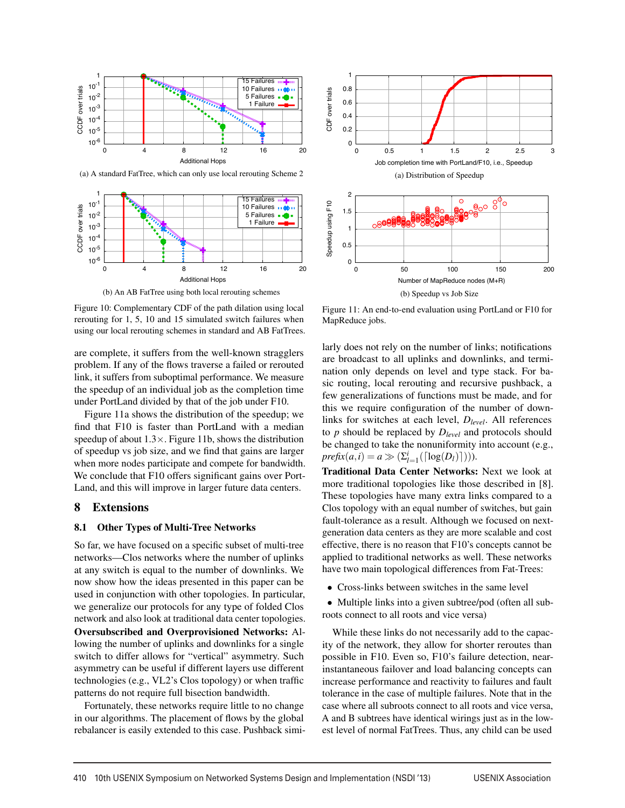

(a) A standard FatTree, which can only use local rerouting Scheme 2



(b) An AB FatTree using both local rerouting schemes



(b) Speedup vs Job Size

Figure 10: Complementary CDF of the path dilation using local rerouting for 1, 5, 10 and 15 simulated switch failures when using our local rerouting schemes in standard and AB FatTrees.

are complete, it suffers from the well-known stragglers problem. If any of the flows traverse a failed or rerouted link, it suffers from suboptimal performance. We measure the speedup of an individual job as the completion time under PortLand divided by that of the job under F10.

Figure 11a shows the distribution of the speedup; we find that F10 is faster than PortLand with a median speedup of about  $1.3 \times$ . Figure 11b, shows the distribution of speedup vs job size, and we find that gains are larger when more nodes participate and compete for bandwidth. We conclude that F10 offers significant gains over Port-Land, and this will improve in larger future data centers.

### 8 Extensions

#### 8.1 Other Types of Multi-Tree Networks

So far, we have focused on a specific subset of multi-tree networks—Clos networks where the number of uplinks at any switch is equal to the number of downlinks. We now show how the ideas presented in this paper can be used in conjunction with other topologies. In particular, we generalize our protocols for any type of folded Clos network and also look at traditional data center topologies.

Oversubscribed and Overprovisioned Networks: Allowing the number of uplinks and downlinks for a single switch to differ allows for "vertical" asymmetry. Such asymmetry can be useful if different layers use different technologies (e.g., VL2's Clos topology) or when traffic patterns do not require full bisection bandwidth.

Fortunately, these networks require little to no change in our algorithms. The placement of flows by the global rebalancer is easily extended to this case. Pushback simi-

Figure 11: An end-to-end evaluation using PortLand or F10 for MapReduce jobs.

larly does not rely on the number of links; notifications are broadcast to all uplinks and downlinks, and termination only depends on level and type stack. For basic routing, local rerouting and recursive pushback, a few generalizations of functions must be made, and for this we require configuration of the number of downlinks for switches at each level, *Dlevel*. All references to *p* should be replaced by *Dlevel* and protocols should be changed to take the nonuniformity into account (e.g.,  $\text{prefix}(a, i) = a \gg (\sum_{l=1}^{i} (\lceil \log(D_l) \rceil))).$ 

Traditional Data Center Networks: Next we look at more traditional topologies like those described in [8]. These topologies have many extra links compared to a Clos topology with an equal number of switches, but gain fault-tolerance as a result. Although we focused on nextgeneration data centers as they are more scalable and cost effective, there is no reason that F10's concepts cannot be applied to traditional networks as well. These networks have two main topological differences from Fat-Trees:

• Cross-links between switches in the same level

• Multiple links into a given subtree/pod (often all subroots connect to all roots and vice versa)

While these links do not necessarily add to the capacity of the network, they allow for shorter reroutes than possible in F10. Even so, F10's failure detection, nearinstantaneous failover and load balancing concepts can increase performance and reactivity to failures and fault tolerance in the case of multiple failures. Note that in the case where all subroots connect to all roots and vice versa, A and B subtrees have identical wirings just as in the lowest level of normal FatTrees. Thus, any child can be used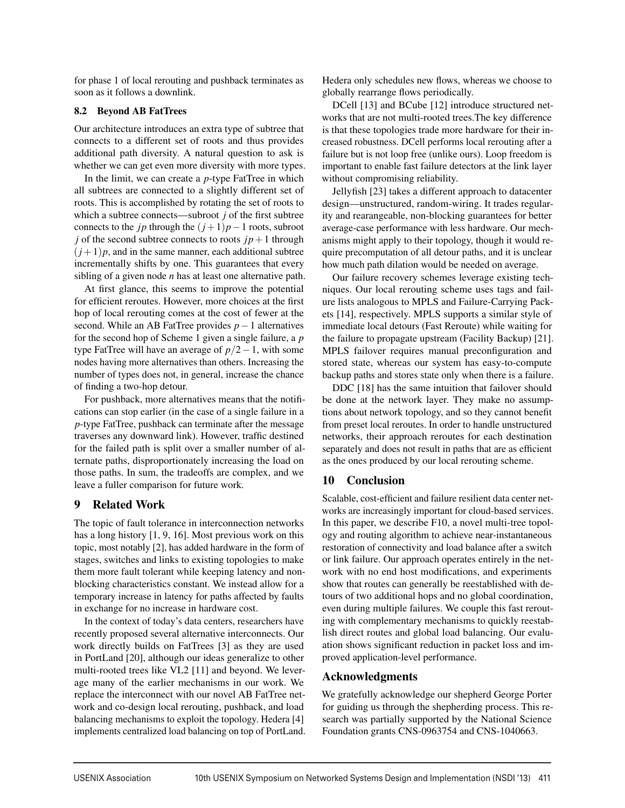for phase 1 of local rerouting and pushback terminates as soon as it follows a downlink.

# 8.2 Beyond AB FatTrees

Our architecture introduces an extra type of subtree that connects to a different set of roots and thus provides additional path diversity. A natural question to ask is whether we can get even more diversity with more types.

In the limit, we can create a *p*-type FatTree in which all subtrees are connected to a slightly different set of roots. This is accomplished by rotating the set of roots to which a subtree connects—subroot *j* of the first subtree connects to the *jp* through the  $(j+1)p-1$  roots, subroot *j* of the second subtree connects to roots  $jp+1$  through  $(j+1)p$ , and in the same manner, each additional subtree incrementally shifts by one. This guarantees that every sibling of a given node *n* has at least one alternative path.

At first glance, this seems to improve the potential for efficient reroutes. However, more choices at the first hop of local rerouting comes at the cost of fewer at the second. While an AB FatTree provides *p*−1 alternatives for the second hop of Scheme 1 given a single failure, a *p* type FatTree will have an average of *p*/2−1, with some nodes having more alternatives than others. Increasing the number of types does not, in general, increase the chance of finding a two-hop detour.

For pushback, more alternatives means that the notifications can stop earlier (in the case of a single failure in a *p*-type FatTree, pushback can terminate after the message traverses any downward link). However, traffic destined for the failed path is split over a smaller number of alternate paths, disproportionately increasing the load on those paths. In sum, the tradeoffs are complex, and we leave a fuller comparison for future work.

# 9 Related Work

The topic of fault tolerance in interconnection networks has a long history [1, 9, 16]. Most previous work on this topic, most notably [2], has added hardware in the form of stages, switches and links to existing topologies to make them more fault tolerant while keeping latency and nonblocking characteristics constant. We instead allow for a temporary increase in latency for paths affected by faults in exchange for no increase in hardware cost.

In the context of today's data centers, researchers have recently proposed several alternative interconnects. Our work directly builds on FatTrees [3] as they are used in PortLand [20], although our ideas generalize to other multi-rooted trees like VL2 [11] and beyond. We leverage many of the earlier mechanisms in our work. We replace the interconnect with our novel AB FatTree network and co-design local rerouting, pushback, and load balancing mechanisms to exploit the topology. Hedera [4] implements centralized load balancing on top of PortLand. Hedera only schedules new flows, whereas we choose to globally rearrange flows periodically.

DCell [13] and BCube [12] introduce structured networks that are not multi-rooted trees.The key difference is that these topologies trade more hardware for their increased robustness. DCell performs local rerouting after a failure but is not loop free (unlike ours). Loop freedom is important to enable fast failure detectors at the link layer without compromising reliability.

Jellyfish [23] takes a different approach to datacenter design—unstructured, random-wiring. It trades regularity and rearangeable, non-blocking guarantees for better average-case performance with less hardware. Our mechanisms might apply to their topology, though it would require precomputation of all detour paths, and it is unclear how much path dilation would be needed on average.

Our failure recovery schemes leverage existing techniques. Our local rerouting scheme uses tags and failure lists analogous to MPLS and Failure-Carrying Packets [14], respectively. MPLS supports a similar style of immediate local detours (Fast Reroute) while waiting for the failure to propagate upstream (Facility Backup) [21]. MPLS failover requires manual preconfiguration and stored state, whereas our system has easy-to-compute backup paths and stores state only when there is a failure.

DDC [18] has the same intuition that failover should be done at the network layer. They make no assumptions about network topology, and so they cannot benefit from preset local reroutes. In order to handle unstructured networks, their approach reroutes for each destination separately and does not result in paths that are as efficient as the ones produced by our local rerouting scheme.

# 10 Conclusion

Scalable, cost-efficient and failure resilient data center networks are increasingly important for cloud-based services. In this paper, we describe F10, a novel multi-tree topology and routing algorithm to achieve near-instantaneous restoration of connectivity and load balance after a switch or link failure. Our approach operates entirely in the network with no end host modifications, and experiments show that routes can generally be reestablished with detours of two additional hops and no global coordination, even during multiple failures. We couple this fast rerouting with complementary mechanisms to quickly reestablish direct routes and global load balancing. Our evaluation shows significant reduction in packet loss and improved application-level performance.

# Acknowledgments

We gratefully acknowledge our shepherd George Porter for guiding us through the shepherding process. This research was partially supported by the National Science Foundation grants CNS-0963754 and CNS-1040663.

 $\overline{a}$